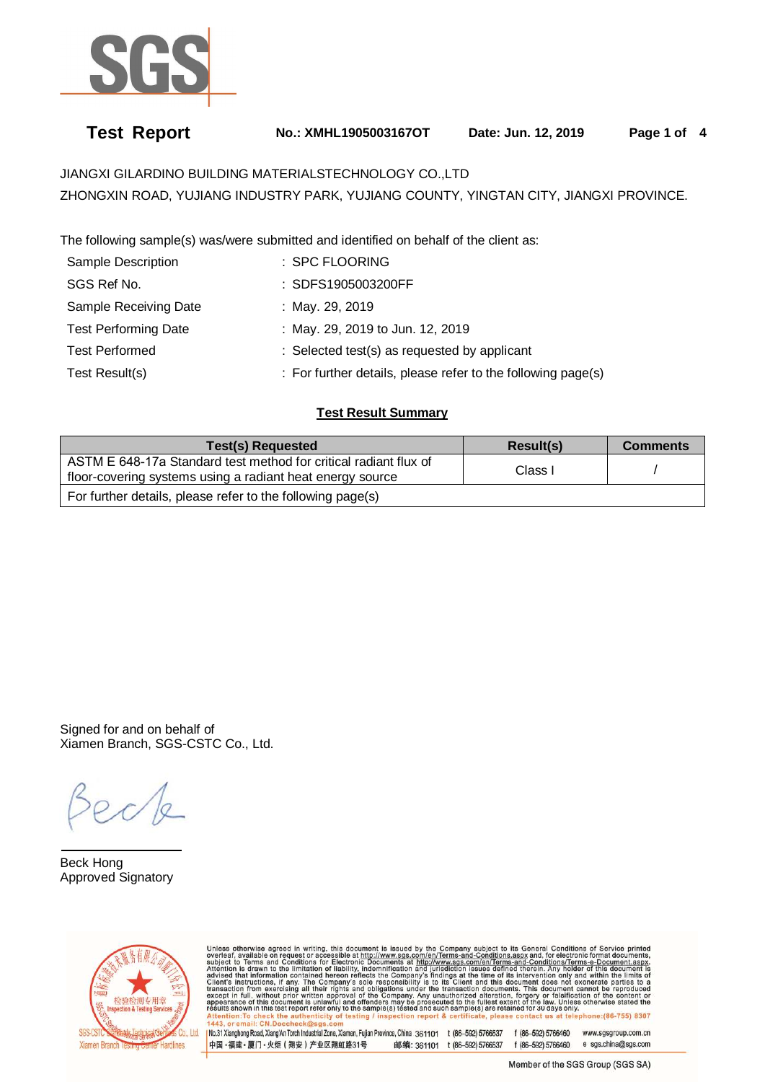

# **Test Report No.: XMHL1905003167OT Date: Jun. 12, 2019 Page 1 of 4**

JIANGXI GILARDINO BUILDING MATERIALSTECHNOLOGY CO.,LTD ZHONGXIN ROAD, YUJIANG INDUSTRY PARK, YUJIANG COUNTY, YINGTAN CITY, JIANGXI PROVINCE.

The following sample(s) was/were submitted and identified on behalf of the client as:

| Sample Description          | : SPC FLOORING                                               |
|-----------------------------|--------------------------------------------------------------|
| SGS Ref No.                 | : SDFS1905003200FF                                           |
| Sample Receiving Date       | : May. 29, 2019                                              |
| <b>Test Performing Date</b> | : May. 29, 2019 to Jun. 12, 2019                             |
| <b>Test Performed</b>       | : Selected test(s) as requested by applicant                 |
| Test Result(s)              | : For further details, please refer to the following page(s) |

# **Test Result Summary**

| Test(s) Requested                                                                                                             | Result(s)          | <b>Comments</b> |
|-------------------------------------------------------------------------------------------------------------------------------|--------------------|-----------------|
| ASTM E 648-17a Standard test method for critical radiant flux of<br>floor-covering systems using a radiant heat energy source | Class <sub>1</sub> |                 |
| For further details, please refer to the following page(s)                                                                    |                    |                 |

Signed for and on behalf of Xiamen Branch, SGS-CSTC Co., Ltd.

 $\overline{a}$ Beck Hong Approved Signatory



Unless otherwise agreed in writing, this document is issued by the Company subject to its General Conditions of Service printed every level as a company subject to its General conditions of Service printed subject to Terms ck the inticity of testing / insp ction report & certificate, please contact us at telephone: (86-755) 8307

No.31 Xianghong Road, Xiang'An Torch Industrial Zone, Xiamen, Fujian Province, China 361101 t (86-592) 5766537 f (86-592) 5766460 www.sgsgroup.com.cn 中国·福建·厦门·火炬 (翔安) 产业区翔虹路31号 邮编: 361101 t (86-592) 5766537 f (86-592) 5766460 e sgs.china@sgs.com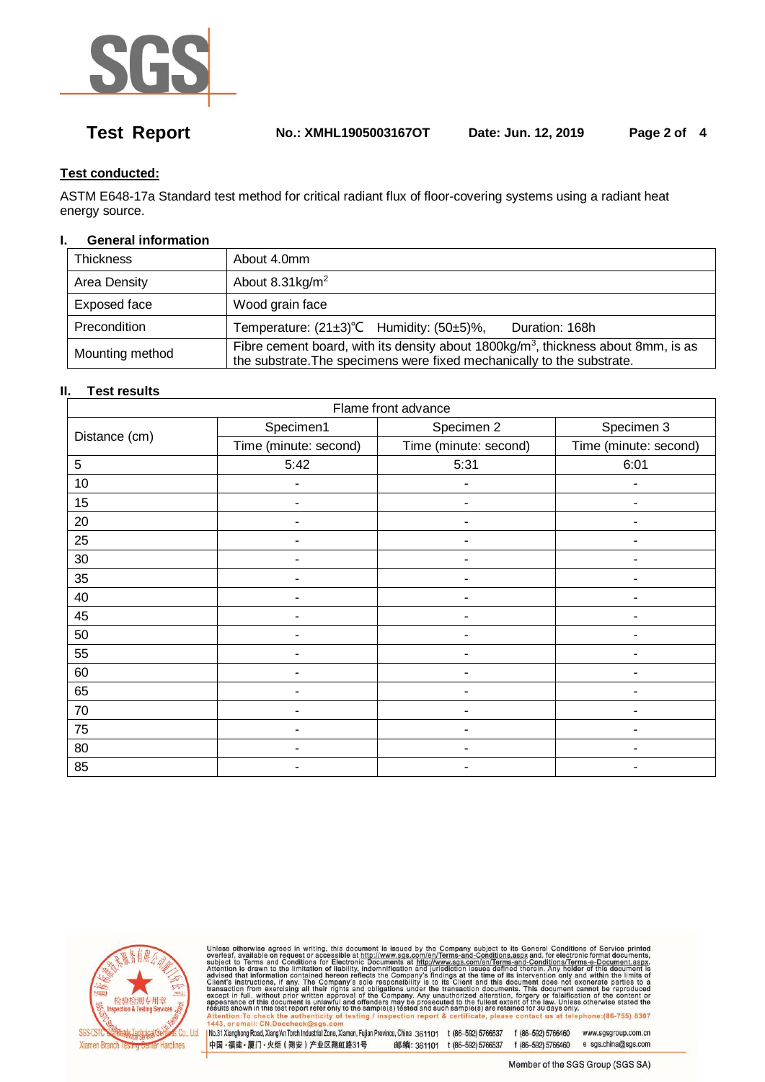

**Test Report No.: XMHL1905003167OT Date: Jun. 12, 2019 Page 2 of 4** 

# **Test conducted:**

ASTM E648-17a Standard test method for critical radiant flux of floor-covering systems using a radiant heat energy source.

### **I. General information**

| <b>Thickness</b> | About 4.0mm                                                                                                                                                    |  |
|------------------|----------------------------------------------------------------------------------------------------------------------------------------------------------------|--|
| Area Density     | About 8.31kg/m <sup>2</sup>                                                                                                                                    |  |
| Exposed face     | Wood grain face                                                                                                                                                |  |
| Precondition     | Temperature: $(21\pm3)$ °C Humidity: $(50\pm5)$ %,<br>Duration: 168h                                                                                           |  |
| Mounting method  | Fibre cement board, with its density about 1800kg/ $m3$ , thickness about 8mm, is as<br>the substrate. The specimens were fixed mechanically to the substrate. |  |

# **II. Test results**

| Flame front advance |                       |                       |                       |  |
|---------------------|-----------------------|-----------------------|-----------------------|--|
| Distance (cm)       | Specimen1             | Specimen 2            | Specimen 3            |  |
|                     | Time (minute: second) | Time (minute: second) | Time (minute: second) |  |
| 5                   | 5:42                  | 5:31                  | 6:01                  |  |
| 10                  |                       |                       |                       |  |
| 15                  |                       |                       |                       |  |
| 20                  |                       |                       |                       |  |
| 25                  |                       |                       |                       |  |
| 30                  |                       |                       |                       |  |
| 35                  |                       |                       |                       |  |
| 40                  |                       |                       |                       |  |
| 45                  |                       |                       |                       |  |
| 50                  |                       |                       |                       |  |
| 55                  |                       |                       |                       |  |
| 60                  |                       |                       |                       |  |
| 65                  |                       |                       |                       |  |
| 70                  |                       |                       |                       |  |
| 75                  |                       |                       |                       |  |
| 80                  |                       |                       |                       |  |
| 85                  |                       |                       |                       |  |



Unless otherwise agreed in writing, this document is issued by the Company subject to its General Conditions of Service printed<br>subject to Terms and Conditions for Electronic Documents at the Company subject to its Genera Hentien-Tex eck the a thenticity of testing / inspection report & certificate, please contact us at telephone: (86-755) 8307

or amail: CN.D. No.31 Xianghong Road, Xiang An Torch Industrial Zone, Xiamen, Fujian Province, China 361101 t (86-592) 5766537 f (86-592) 5766460 www.sgsgroup.com.cn 邮编: 361101 t (86-592) 5766537 f (86-592) 5766460 e sgs.china@sgs.com 中国·福建·厦门·火炬 (翔安) 产业区翔虹路31号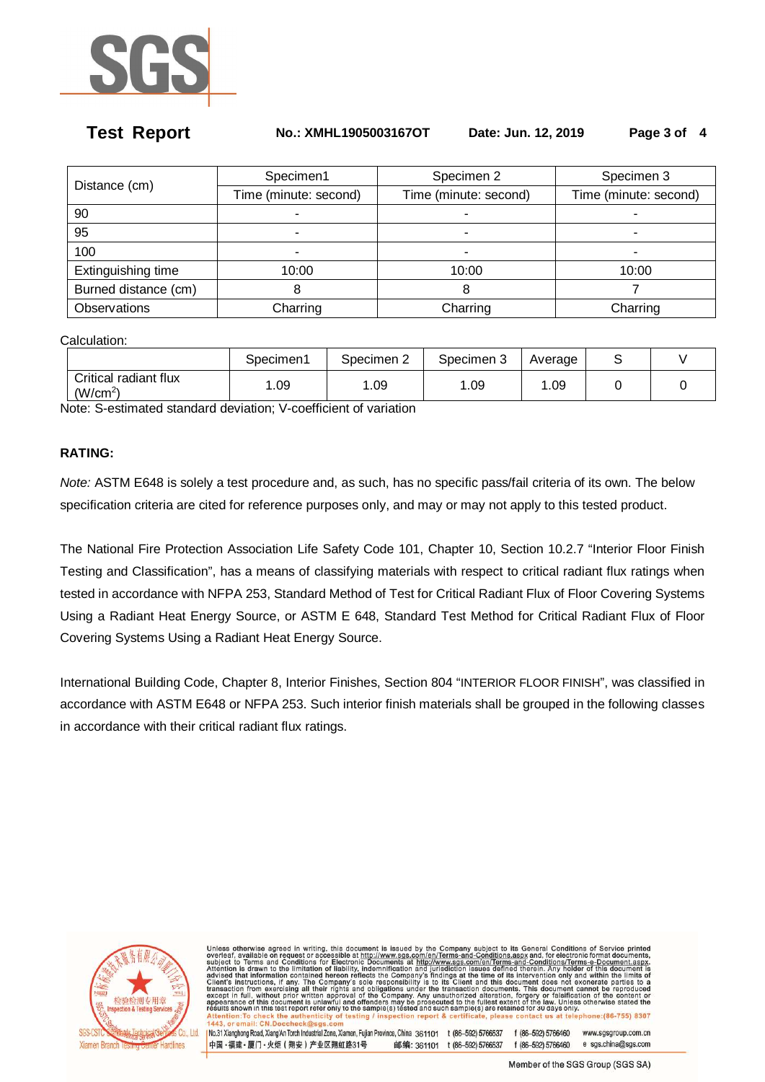

### **Test Report No.: XMHL1905003167OT Date: Jun. 12, 2019 Page 3 of 4**

| Distance (cm)        | Specimen1             | Specimen 2            | Specimen 3            |
|----------------------|-----------------------|-----------------------|-----------------------|
|                      | Time (minute: second) | Time (minute: second) | Time (minute: second) |
| 90                   |                       |                       |                       |
| 95                   |                       |                       | -                     |
| 100                  |                       |                       |                       |
| Extinguishing time   | 10:00                 | 10:00                 | 10:00                 |
| Burned distance (cm) | 8                     | 8                     |                       |
| Observations         | Charring              | Charring              | Charring              |

Calculation:

|                                               | Specimen1 | Specimen 2 | Specimen 3 | Average |  |
|-----------------------------------------------|-----------|------------|------------|---------|--|
| Critical radiant flux<br>(W/cm <sup>2</sup> ) | .09       | .09        | .09        | l.09    |  |

Note: S-estimated standard deviation; V-coefficient of variation

# **RATING:**

Note: ASTM E648 is solely a test procedure and, as such, has no specific pass/fail criteria of its own. The below specification criteria are cited for reference purposes only, and may or may not apply to this tested product.

The National Fire Protection Association Life Safety Code 101, Chapter 10, Section 10.2.7 "Interior Floor Finish Testing and Classification", has a means of classifying materials with respect to critical radiant flux ratings when tested in accordance with NFPA 253, Standard Method of Test for Critical Radiant Flux of Floor Covering Systems Using a Radiant Heat Energy Source, or ASTM E 648, Standard Test Method for Critical Radiant Flux of Floor Covering Systems Using a Radiant Heat Energy Source.

International Building Code, Chapter 8, Interior Finishes, Section 804 "INTERIOR FLOOR FINISH", was classified in accordance with ASTM E648 or NFPA 253. Such interior finish materials shall be grouped in the following classes in accordance with their critical radiant flux ratings.



Unless otherwise agreed in writing, this document is issued by the Company subject to its General Conditions of Service printed subject to Terms and Conditions and the Subject to Terms and Conditions of creations of the su ction report & certificate, please contact us at telephone: (86-755) 8307  $k$  the testing

No.31 Xianghong Road, Xiang'An Torch Industrial Zone, Xiamen, Fuilan Province, China 361101 t (86-592) 5766537 f (86-592) 5766460 www.sqsgroup.com.cn 中国·福建·厦门·火炬 (翔安) 产业区翔虹路31号 邮编: 361101 t (86-592) 5766537 f (86-592) 5766460 e sgs.china@sgs.com